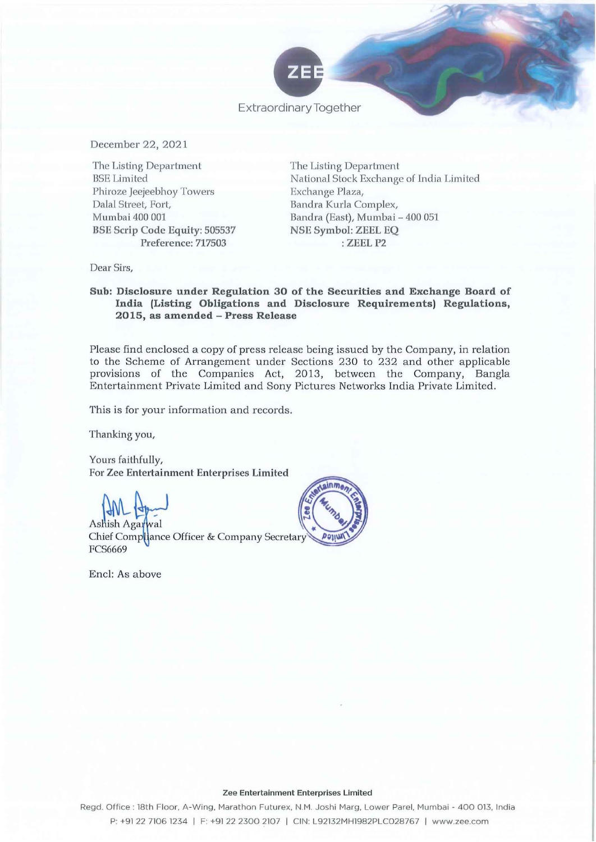

Extraordinary Together

December 22,2021

The Listing Department BSE Limited Phiroze Jeejeebhoy Towers Dalal Street, Fort, Mumbai 400 001 BSE Scrip Code Equity: 505537 Preference: 717503

The Listing Department Na tional Stock Exchange of India Limited Exchange Plaza, Bandra Kurla Complex, Bandra (East), Mumbai - 400 051 NSE Symbol: ZEEL EQ : ZEELP2

Dear Sirs,

## Sub: Disclosure under Regulation 30 of the Securities and Exchange Board of India (Listing Obligations and Disclosure Requirements) Regulations, 2015, as amended - Press Release

Please find enclosed a copy of press release being issued by the Company, in relation to the Scheme of Arrangement under Sections 230 to 232 and other applicable provisions of the Companies Act, 2013, between the Company, Bangla Entertainment Private Limited and Sony Pictures Networks India Private Limited.

This is for your information and records.

Thanking you,

Yours faithfully, For Zee Entertainment Enterprises Limited

Ashish Agai Chief Compliance Officer & Company Secretary **FCS6669** 

End: As above



### Zee Entertainment Enterprises Limited

Regd. Office: 18th Floor. A-Wing, Marathon Futurex. N.M. Joshi Marg. Lower Parel, Mumbai - 400 013, India P: +91 22 7106 1234 I F: +91 22 2300 2107 I CIN: L92132MH1982PLC028767 I www.zee.com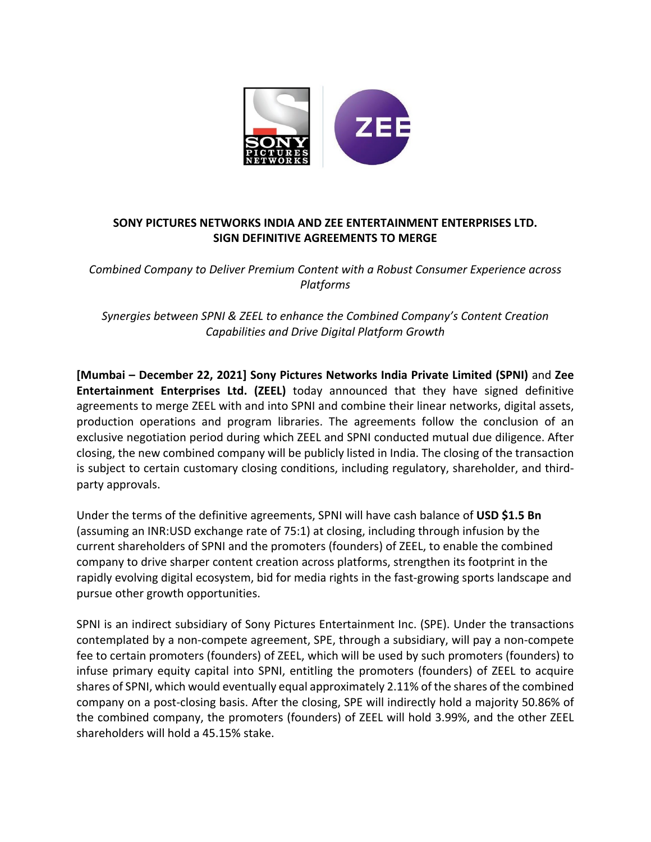

# **SONY PICTURES NETWORKS INDIA AND ZEE ENTERTAINMENT ENTERPRISES LTD. SIGN DEFINITIVE AGREEMENTS TO MERGE**

*Combined Company to Deliver Premium Content with a Robust Consumer Experience across Platforms*

*Synergies between SPNI & ZEEL to enhance the Combined Company's Content Creation Capabilities and Drive Digital Platform Growth*

**[Mumbai – December 22, 2021] Sony Pictures Networks India Private Limited (SPNI)** and **Zee Entertainment Enterprises Ltd. (ZEEL)** today announced that they have signed definitive agreements to merge ZEEL with and into SPNI and combine their linear networks, digital assets, production operations and program libraries. The agreements follow the conclusion of an exclusive negotiation period during which ZEEL and SPNI conducted mutual due diligence. After closing, the new combined company will be publicly listed in India. The closing of the transaction is subject to certain customary closing conditions, including regulatory, shareholder, and thirdparty approvals.

Under the terms of the definitive agreements, SPNI will have cash balance of **USD \$1.5 Bn** (assuming an INR:USD exchange rate of 75:1) at closing, including through infusion by the current shareholders of SPNI and the promoters (founders) of ZEEL, to enable the combined company to drive sharper content creation across platforms, strengthen its footprint in the rapidly evolving digital ecosystem, bid for media rights in the fast-growing sports landscape and pursue other growth opportunities.

SPNI is an indirect subsidiary of Sony Pictures Entertainment Inc. (SPE). Under the transactions contemplated by a non-compete agreement, SPE, through a subsidiary, will pay a non-compete fee to certain promoters (founders) of ZEEL, which will be used by such promoters (founders) to infuse primary equity capital into SPNI, entitling the promoters (founders) of ZEEL to acquire shares of SPNI, which would eventually equal approximately 2.11% of the shares of the combined company on a post-closing basis. After the closing, SPE will indirectly hold a majority 50.86% of the combined company, the promoters (founders) of ZEEL will hold 3.99%, and the other ZEEL shareholders will hold a 45.15% stake.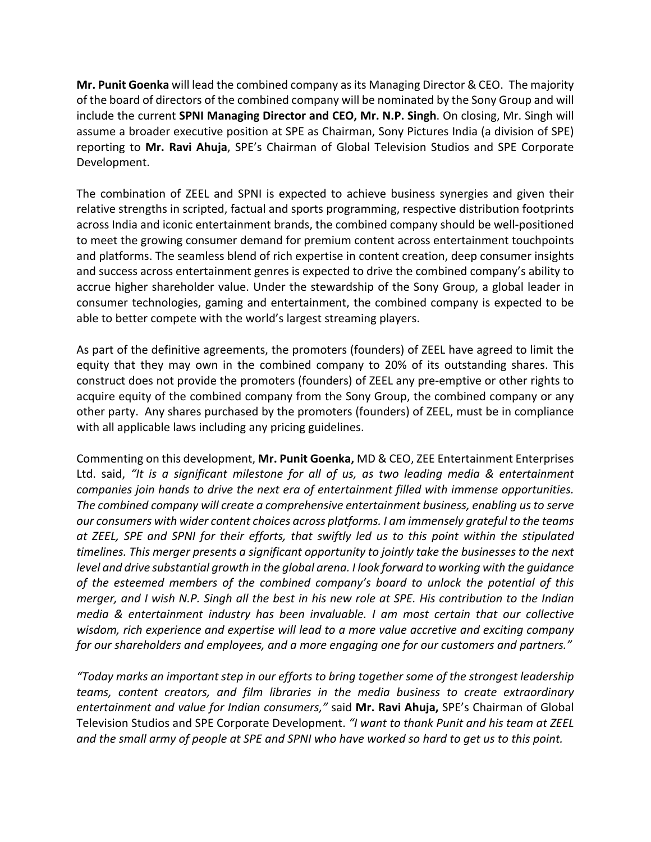**Mr. Punit Goenka** will lead the combined company as its Managing Director & CEO. The majority of the board of directors of the combined company will be nominated by the Sony Group and will include the current **SPNI Managing Director and CEO, Mr. N.P. Singh**. On closing, Mr. Singh will assume a broader executive position at SPE as Chairman, Sony Pictures India (a division of SPE) reporting to **Mr. Ravi Ahuja**, SPE's Chairman of Global Television Studios and SPE Corporate Development.

The combination of ZEEL and SPNI is expected to achieve business synergies and given their relative strengths in scripted, factual and sports programming, respective distribution footprints across India and iconic entertainment brands, the combined company should be well-positioned to meet the growing consumer demand for premium content across entertainment touchpoints and platforms. The seamless blend of rich expertise in content creation, deep consumer insights and success across entertainment genres is expected to drive the combined company's ability to accrue higher shareholder value. Under the stewardship of the Sony Group, a global leader in consumer technologies, gaming and entertainment, the combined company is expected to be able to better compete with the world's largest streaming players.

As part of the definitive agreements, the promoters (founders) of ZEEL have agreed to limit the equity that they may own in the combined company to 20% of its outstanding shares. This construct does not provide the promoters (founders) of ZEEL any pre-emptive or other rights to acquire equity of the combined company from the Sony Group, the combined company or any other party. Any shares purchased by the promoters (founders) of ZEEL, must be in compliance with all applicable laws including any pricing guidelines.

Commenting on this development, **Mr. Punit Goenka,** MD & CEO, ZEE Entertainment Enterprises Ltd. said, *"It is a significant milestone for all of us, as two leading media & entertainment companies join hands to drive the next era of entertainment filled with immense opportunities. The combined company will create a comprehensive entertainment business, enabling us to serve our consumers with wider content choices across platforms. I am immensely grateful to the teams at ZEEL, SPE and SPNI for their efforts, that swiftly led us to this point within the stipulated timelines. This merger presents a significant opportunity to jointly take the businesses to the next level and drive substantial growth in the global arena. I look forward to working with the guidance of the esteemed members of the combined company's board to unlock the potential of this merger, and I wish N.P. Singh all the best in his new role at SPE. His contribution to the Indian media & entertainment industry has been invaluable. I am most certain that our collective wisdom, rich experience and expertise will lead to a more value accretive and exciting company for our shareholders and employees, and a more engaging one for our customers and partners."*

*"Today marks an important step in our efforts to bring together some of the strongest leadership teams, content creators, and film libraries in the media business to create extraordinary entertainment and value for Indian consumers,"* said **Mr. Ravi Ahuja,** SPE's Chairman of Global Television Studios and SPE Corporate Development. *"I want to thank Punit and his team at ZEEL and the small army of people at SPE and SPNI who have worked so hard to get us to this point.*